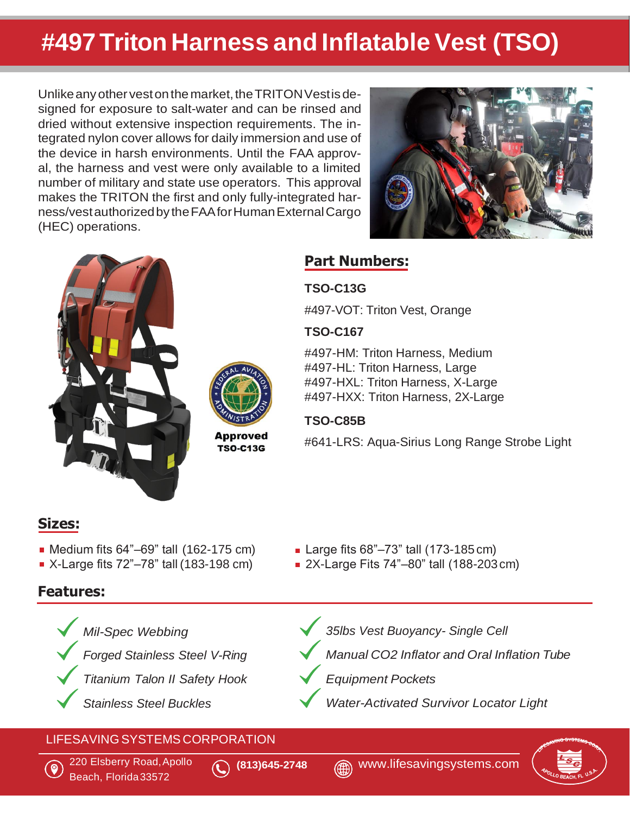# **#497 Triton Harness and Inflatable Vest (TSO)**

Unlike any other vest on the market, the TRITON Vest is designed for exposure to salt-water and can be rinsed and dried without extensive inspection requirements. The integrated nylon cover allows for daily immersion and use of the device in harsh environments. Until the FAA approval, the harness and vest were only available to a limited number of military and state use operators. This approval makes the TRITON the first and only fully-integrated harness/vestauthorizedby theFAAforHumanExternalCargo (HEC) operations.







**Approved TSO-C13G** 

## **Part Numbers:**

#### **TSO-C13G**

#497-VOT: Triton Vest, Orange

#### **TSO-C167**

#497-HM: Triton Harness, Medium #497-HL: Triton Harness, Large #497-HXL: Triton Harness, X-Large #497-HXX: Triton Harness, 2X-Large

#### **TSO-C85B**

#641-LRS: Aqua-Sirius Long Range Strobe Light

## **Sizes:**

- Medium fits  $64" 69"$  tall  $(162 175 \text{ cm})$  Large fits  $68" 73"$  tall  $(173 185 \text{ cm})$
- 

# **Features:**

- - *Mil-Spec Webbing*
	- *Forged Stainless Steel V-Ring*
	- *Titanium Talon II Safety Hook*
	- *Stainless Steel Buckles*
- 
- X-Large fits 72"–78" tall (183-198 cm) 2X-Large Fits 74"–80" tall (188-203cm)
	- *35lbs Vest Buoyancy- Single Cell*
	- *Manual CO2 Inflator and Oral Inflation Tube*
	- *Equipment Pockets*
	- *Water-Activated Survivor Locator Light*

# LIFESAVINGSYSTEMS CORPORATION **<sup>Y</sup>**



Beach, Florida33572 220 Elsberry Road,Apollo **(813)645-2748** [www.lifesavingsystems.com](http://www.lifesavingsystems.com/)